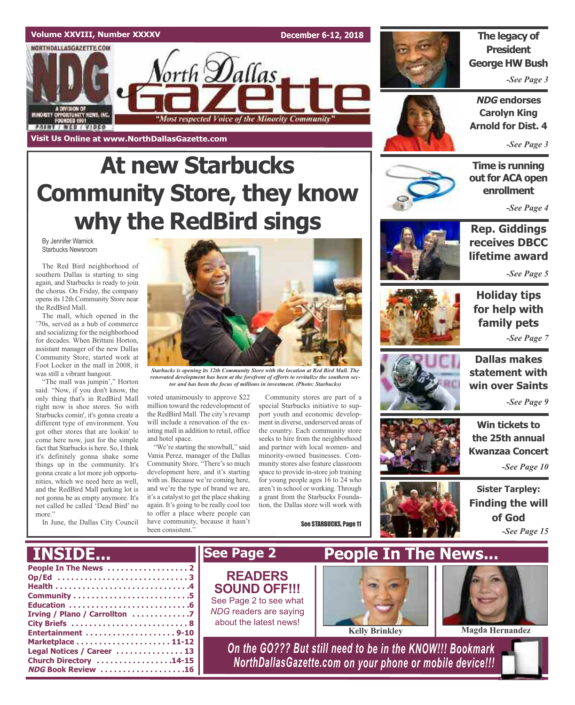### **Volume XXVIII, Number XXXXV**

NORTHDALLASGAZETTE.COM

**MINORITY CPPORTUNITY NEWS, INC.**<br>FOUNDED 1991

**PRINT / WEB / VIDEO** 

**Visit Us Online at www.NorthDallasGazette.com**

**December 6-12, 2018**



**The legacy of President George HW Bush**

*-See Page 3*

**NDG endorses Carolyn King Arnold for Dist. 4**

*-See Page 3*

### **Time is running out for ACA open enrollment**

*-See Page 4*

**Rep. Giddings receives DBCC lifetime award**

*-See Page 5*

**Holiday tips for help with family pets** *-See Page 7*



**Dallas makes statement with win over Saints**

*-See Page 9*

**Win tickets to the 25th annual Kwanzaa Concert**

*-See Page 10*

**Sister Tarpley: Finding the will of God** *-See Page 15*

# **At new Starbucks Community Store, they know why the RedBird sings**

orth Dallas

"Most respected Voice of the Minority Community"

By Jennifer Warnick Starbucks Newsroom

The Red Bird neighborhood of southern Dallas is starting to sing again, and Starbucks is ready to join the chorus. On Friday, the company opensits 12th Community Store near the RedBird Mall.

The mall, which opened in the '70s, served as a hub of commerce and socializing for the neighborhood for decades. When Brittani Horton, assistant manager of the new Dallas Community Store, started work at Foot Locker in the mall in 2008, it was still a vibrant hangout.

"The mall was jumpin'," Horton said. "Now, if you don't know, the only thing that's in RedBird Mall right now is shoe stores. So with Starbucks comin', it's gonna create a different type of environment. You got other stores that are lookin' to come here now, just for the simple fact that Starbucks is here. So, I think it's definitely gonna shake some things up in the community. It's gonna create a lot more job opportunities, which we need here as well, and the RedBird Mall parking lot is not gonna be as empty anymore. It's not called be called 'Dead Bird' no more."

In June, the Dallas City Council

**Church Directory . . . . . . . . . . . . . . . . .14-15 NDG Book Review . . . . . . . . . . . . . . . . . . .16**



*Starbucks is opening its 12th Community Store with the location at Red Bird Mall. The renovated development has been at the forefront of efforts to revitalize the southern sector and has been the focus of millions in investment. (Photo: Starbucks)*

voted unanimously to approve \$22 million toward the redevelopment of the RedBird Mall. The city's revamp will include a renovation of the existing mall in addition to retail, office and hotel space.

"We're starting the snowball," said Vania Perez, manager of the Dallas Community Store. "There's so much development here, and it's starting with us. Because we're coming here, and we're the type of brand we are, it's a catalyst to get the place shaking again. It's going to be really cool too to offer a place where people can have community, because it hasn't been consistent."

Community stores are part of a special Starbucks initiative to support youth and economic development in diverse, underserved areas of the country. Each community store seeks to hire from the neighborhood and partner with local women- and minority-owned businesses. Community stores also feature classroom space to provide in-store job training for young people ages 16 to 24 who aren't in school or working. Through a grant from the Starbucks Foundation, the Dallas store will work with

See STARBUCKS, Page 11













*NorthDallasGazette.com on your phone or mobile device!!!*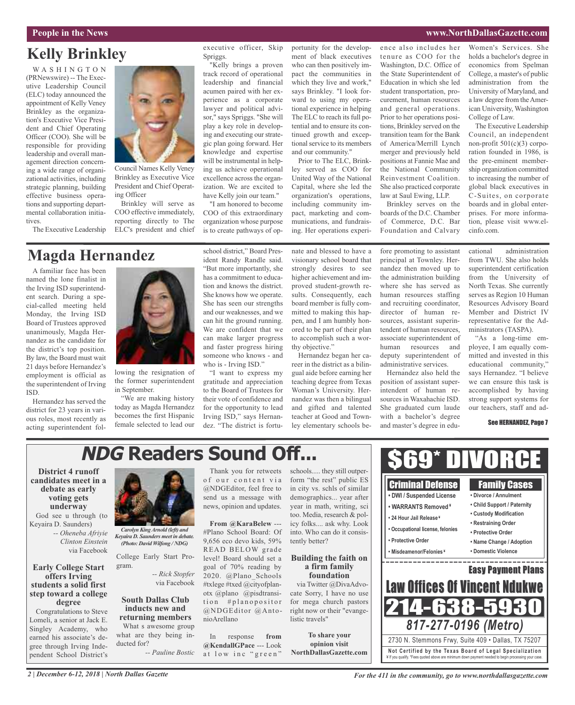### **People in the News www.NorthDallasGazette.com**

### **Kelly Brinkley**

W A S H I N G T O N (PRNewswire) -- The Executive Leadership Council (ELC) today announced the appointment of Kelly Veney Brinkley as the organization's Executive Vice President and Chief Operating Officer (COO). She will be responsible for providing leadership and overall management direction concerning a wide range of organizational activities, including strategic planning, building effective business operations and supporting departmental collaboration initiatives. The Executive Leadership



Council Names Kelly Veney Brinkley as Executive Vice President and Chief Operating Officer

Brinkley will serve as COO effective immediately, reporting directly to The ELC's president and chief executive officer, Skip Spriggs.

"Kelly brings a proven track record of operational leadership and financial acumen paired with her experience as a corporate lawyer and political advisor," says Spriggs. "She will play a key role in developing and executing our strategic plan going forward. Her knowledge and expertise will be instrumental in helping us achieve operational excellence across the organization. We are excited to have Kelly join our team."

"I am honored to become COO of this extraordinary organization whose purpose is to create pathways of opportunity for the development of black executives who can then positively impact the communities in which they live and work," says Brinkley. "I look forward to using my operational experience in helping The ELC to reach its full potential and to ensure its continued growth and exceptional service to its members and our community."

Prior to The ELC, Brinkley served as COO for United Way of the National Capital, where she led the organization's operations, including community impact, marketing and communications, and fundraising. Her operations experience also includes her tenure as COO for the Washington, D.C. Office of the State Superintendent of Education in which she led student transportation, procurement, human resources and general operations. Prior to her operations positions, Brinkley served on the transition team for the Bank of America/Merrill Lynch merger and previously held positions at Fannie Mae and the National Community Reinvestment Coalition. She also practiced corporate law at Saul Ewing, LLP.

Brinkley serves on the boards of the D.C. Chamber of Commerce, D.C. Bar Foundation and Calvary

Women's Services. She holds a bachelor's degree in economics from Spelman College, a master's of public administration from the University of Maryland, and a law degree from theAmerican University, Washington College of Law.

The Executive Leadership Council, an independent non-profit 501(c)(3) corporation founded in 1986, is the pre-eminent membership organization committed to increasing the number of global black executives in C-Suites, on corporate boards and in global enterprises. For more information, please visit www.elcinfo.com.

### **Magda Hernandez**

A familiar face has been named the lone finalist in the Irving ISD superintendent search. During a special-called meeting held Monday, the Irving ISD Board of Trustees approved unanimously, Magda Hernandez as the candidate for the district's top position. By law, the Board must wait 21 days before Hernandez's employment is official as the superintendent of Irving ISD.

Hernandez has served the district for 23 years in various roles, most recently as acting superintendent fol-



lowing the resignation of the former superintendent in September.

"We are making history today as Magda Hernandez becomes the first Hispanic female selected to lead our school district," Board President Randy Randle said. "But more importantly, she has a commitment to education and knows the district. She knows how we operate. She has seen our strengths and our weaknesses, and we can hit the ground running. We are confident that we can make larger progress and faster progress hiring someone who knows - and who is - Irving ISD."

"I want to express my gratitude and appreciation to the Board of Trustees for their vote of confidence and for the opportunity to lead Irving ISD," says Hernandez. "The district is fortunate and blessed to have a visionary school board that strongly desires to see higher achievement and improved student-growth results. Consequently, each board member is fully committed to making this happen, and I am humbly honored to be part of their plan to accomplish such a worthy objective."

Hernandez began her career in the district as a bilingual aide before earning her teaching degree from Texas Woman's University. Hernandez was then a bilingual and gifted and talented teacher at Good and Townley elementary schools be-

fore promoting to assistant principal at Townley. Hernandez then moved up to the administration building where she has served as human resources staffing and recruiting coordinator, director of human resources, assistant superintendent of human resources, associate superintendent of human resources and deputy superintendent of administrative services.

Hernández also held the position of assistant superintendent of human resources in Waxahachie ISD. She graduated cum laude with a bachelor's degree and master's degree in educational administration from TWU. She also holds superintendent certification from the University of North Texas. She currently serves as Region 10 Human Resources Advisory Board Member and District IV representative for the Administrators (TASPA).

"As a long-time employee, I am equally committed and invested in this educational community," says Hernandez. "I believe we can ensure this task is accomplished by having strong support systems for our teachers, staff and ad-

#### See HERNANDEZ, Page 7

### **NDG Readers Sound Off...**

**District 4 runoff candidates meet in a debate as early voting gets underway** God see u through (to Keyaira D. Saunders) *-- Oheneba Afriyie Clinton Einstein* via Facebook

#### **Early College Start offers Irving students a solid first step toward a college degree**

Congratulations to Steve Lomeli, a senior at Jack E. Singley Academy, who earned his associate's degree through Irving Independent School District's



*Carolyn KingArnold (left) and Keyaira D. Saunders meet in debate. (Photo: David Wilfong / NDG)*

College Early Start Program.

> *-- Rick Stopfer* via Facebook

#### **South Dallas Club inducts new and returning members** What s awesome group what are they being inducted for?

*-- Pauline Bostic*

Thank you for retweets of our content via @NDGEditor, feel free to send us a message with news, opinion and updates.

**From @KaraBelew** --- #Plano School Board: Of 9,656 eco devo kids, 59% READ BELOW grade level! Board should set a goal of 70% reading by 2020. @Plano\_Schools #txlege #txed @cityofplanotx @plano @pisdtransition # planopositor @NDGEditor @AntonioArellano

In response **from @KendallGPace** --- Look at low inc "green"

schools..... they still outperform "the rest" public ES in city vs. schls of similar demographics... year after year in math, writing, sci too. Media, research & policy folks.... ask why. Look into. Who can do it consistently better?

#### **Building the faith on a firm family foundation**

via Twitter @DivaAdvocate Sorry, I have no use for mega church pastors right now or their "evangelistic travels"

**To share your opinion visit NorthDallasGazette.com**



*For the 411 in the community, go to www.northdallasgazette.com*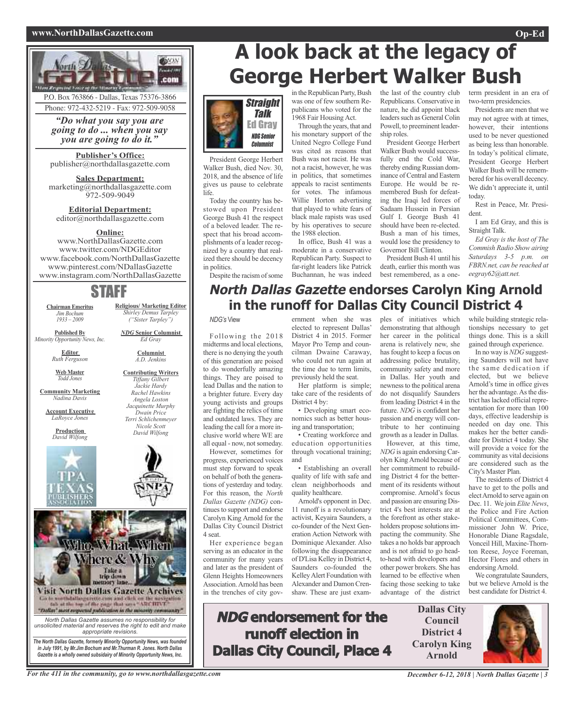#### **www.NorthDallasGazette.com Op-Ed**



### **A look back at the legacy of George Herbert Walker Bush** in the Republican Party, Bush



President George Herbert Walker Bush, died Nov. 30, 2018, and the absence of life gives us pause to celebrate life.

Today the country has bestowed upon President George Bush 41 the respect of a beloved leader. The respect that his broad accomplishments of a leader recognized by a country that realized there should be decency in politics.

Despite the racism of some

was one of few southern Republicans who voted for the 1968 Fair Housing Act. Through the years, that and

his monetary support of the United Negro College Fund was cited as reasons that Bush was not racist. He was not a racist, however, he was in politics, that sometimes appeals to racist sentiments for votes. The infamous Willie Horton advertising that played to white fears of black male rapists was used by his operatives to secure the 1988 election.

In office, Bush 41 was a moderate in a conservative Republican Party. Suspect to far-right leaders like Patrick Buchannan, he was indeed

the last of the country club term president in an era of Republicans. Conservative in nature, he did appoint black leaders such as General Colin Powell, to preeminent leadership roles.

President George Herbert Walker Bush would successfully end the Cold War, thereby ending Russian dominance of Central and Eastern Europe. He would be remembered Bush for defeating the Iraqi led forces of Sadaam Hussein in Persian Gulf I. George Bush 41 should have been re-elected. Bush a man of his times, would lose the presidency to Governor Bill Clinton.

President Bush 41 until his death, earlier this month was best remembered, as a onetwo-term presidencies.

Presidents are men that we may not agree with at times, however, their intentions used to be never questioned as being less than honorable. In today's political climate, President George Herbert Walker Bush will be remembered for his overall decency. We didn't appreciate it, until today.

Rest in Peace, Mr. President.

I am Ed Gray, and this is Straight Talk.

*Ed Gray is the host of The Commish Radio Show airing Saturdays 3-5 p.m. on FBRN.net, can be reached at eegray62@att.net.*

### **North Dallas Gazette endorses Carolyn King Arnold in the runoff for Dallas City Council District 4**

*NDG's* View

Following the 2018 midterms and local elections, there is no denying the youth of this generation are poised to do wonderfully amazing things. They are poised to lead Dallas and the nation to a brighter future. Every day young activists and groups are fighting the relics of time and outdated laws. They are leading the call for a more inclusive world where WE are all equal - now, not someday.

However, sometimes for progress, experienced voices must step forward to speak on behalf of both the generations of yesterday and today. For this reason, the *North Dallas Gazette (NDG)* continues to support and endorse Carolyn King Arnold for the Dallas City Council District 4 seat.

Her experience began serving as an educator in the community for many years and later as the president of Glenn Heights Homeowners Association.Arnold has been in the trenches of city gov-

ernment when she was elected to represent Dallas' District 4 in 2015. Former Mayor Pro Temp and councilman Dwaine Caraway, who could not run again at the time due to term limits, previously held the seat.

Her platform is simple; take care of the residents of District 4 by:

• Developing smart economics such as better housing and transportation;

• Creating workforce and education opportunities through vocational training; and

• Establishing an overall quality of life with safe and clean neighborhoods and quality healthcare.

Arnold's opponent in Dec. 11 runoff is a revolutionary activist, Keyaira Saunders, a co-founder of the Next Generation Action Network with Dominique Alexander. Also following the disappearance of D'Lisa Kelley in District 4, Saunders co-founded the KelleyAlert Foundation with Alexander and Damon Crenshaw. These are just examples of initiatives which demonstrating that although her career in the political arena is relatively new, she has fought to keep a focus on addressing police brutality, community safety and more in Dallas. Her youth and newnessto the political arena do not disqualify Saunders from leading District 4 in the future. *NDG* is confident her passion and energy will contribute to her continuing growth as a leader in Dallas.

However, at this time, *NDG* is again endorsing Carolyn King Arnold because of her commitment to rebuilding District 4 for the betterment of its residents without compromise. Arnold's focus and passion are ensuring District 4's best interests are at the forefront as other stakeholders propose solutions impacting the community. She takes a no holds bar approach and is not afraid to go headto-head with developers and other power brokers. She has learned to be effective when facing those seeking to take advantage of the district while building strategic relationships necessary to get things done. This is a skill gained through experience.

In no way is *NDG* suggesting Saunders will not have the same dedication if elected, but we believe Arnold's time in office gives her the advantage. As the district haslacked official representation for more than 100 days, effective leadership is needed on day one. This makes her the better candidate for District 4 today. She will provide a voice for the community as vital decisions are considered such as the City's Master Plan.

The residents of District 4 have to get to the polls and electArnold to serve again on Dec. 11. We join *Elite News*, the Police and Fire Action Political Committees, Commissioner John W. Price, Honorable Diane Ragsdale, Vonceil Hill, Maxine-Thornton Reese, Joyce Foreman, Hector Flores and others in endorsing Arnold.

We congratulate Saunders, but we believe Arnold is the best candidate for District 4.

**Dallas City Council District 4 Carolyn King Arnold**

**NDG endorsement for the runoff election in Dallas City Council, Place 4**

For the 411 in the community, go to www.northdallasgazette.com December 6-12, 2018 | North Dallas Gazette | 3

*in July 1991, by Mr.Jim Bochum and Mr.Thurman R. Jones. North Dallas Gazette is a wholly owned subsidairy of Minority Opportunity News, Inc.*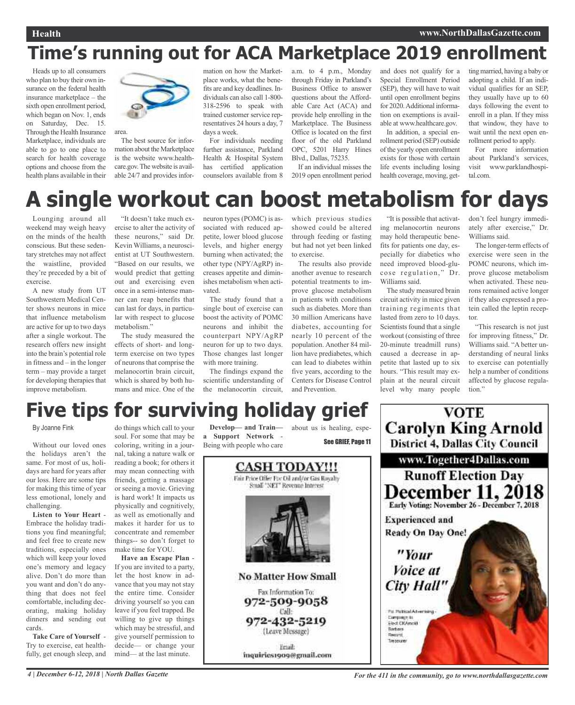# **Time's running out for ACA Marketplace 2019 enrollment**

Heads up to all consumers who plan to buy their own insurance on the federal health insurance marketplace – the sixth open enrollment period, which began on Nov. 1, ends on Saturday, Dec. 15. Through the Health Insurance Marketplace, individuals are able to go to one place to search for health coverage options and choose from the health plans available in their



The best source for information about the Marketplace is the website www.healthcare.gov.The website is available 24/7 and provides information on how the Marketplace works, what the benefits are and key deadlines. Individuals can also call 1-800- 318-2596 to speak with trained customer service representatives 24 hours a day, 7 days a week.

For individuals needing further assistance, Parkland Health & Hospital System has certified application counselors available from 8 a.m. to 4 p.m., Monday through Friday in Parkland's Business Office to answer questions about the Affordable Care Act (ACA) and provide help enrolling in the Marketplace. The Business Office is located on the first floor of the old Parkland OPC, 5201 Harry Hines Blvd., Dallas, 75235.

If an individual misses the 2019 open enrollment period and does not qualify for a Special Enrollment Period (SEP), they will have to wait until open enrollment begins for 2020.Additional information on exemptions is available at www.healthcare.gov. In addition, a special enrollment period (SEP) outside of the yearly open enrollment

exists for those with certain life events including losing health coverage, moving, get-

ting married, having a baby or adopting a child. If an individual qualifies for an SEP, they usually have up to 60 days following the event to enroll in a plan. If they miss that window, they have to wait until the next open enrollment period to apply.

For more information about Parkland's services, visit www.parklandhospital.com.

# **A single workout can boost metabolism for days**

Lounging around all weekend may weigh heavy on the minds of the health conscious. But these sedentary stretches may not affect the waistline, provided they're preceded by a bit of exercise.

A new study from UT Southwestern Medical Center shows neurons in mice that influence metabolism are active for up to two days after a single workout. The research offers new insight into the brain's potential role in fitness and – in the longer term – may provide a target for developing therapies that improve metabolism.

"It doesn't take much exercise to alter the activity of these neurons," said Dr. Kevin Williams, a neuroscientist at UT Southwestern. "Based on our results, we would predict that getting out and exercising even once in a semi-intense manner can reap benefits that can last for days, in particular with respect to glucose metabolism."

The study measured the effects of short- and longterm exercise on two types of neurons that comprise the melanocortin brain circuit, which is shared by both humans and mice. One of the neuron types (POMC) is associated with reduced appetite, lower blood glucose levels, and higher energy burning when activated; the other type (NPY/AgRP) increases appetite and diminishes metabolism when activated.

The study found that a single bout of exercise can boost the activity of POMC neurons and inhibit the counterpart NPY/AgRP neuron for up to two days. Those changes last longer with more training.

The findings expand the scientific understanding of the melanocortin circuit,

which previous studies showed could be altered through feeding or fasting but had not yet been linked to exercise.

The results also provide another avenue to research potential treatments to improve glucose metabolism in patients with conditions such as diabetes. More than 30 million Americans have diabetes, accounting for nearly 10 percent of the population. Another 84 million have prediabetes, which can lead to diabetes within five years, according to the Centers for Disease Control and Prevention.

"It is possible that activating melanocortin neurons may hold therapeutic benefits for patients one day, especially for diabetics who need improved blood-glucose regulation," Dr. Williams said.

The study measured brain circuit activity in mice given training regiments that lasted from zero to 10 days. Scientists found that a single workout (consisting of three 20-minute treadmill runs) caused a decrease in appetite that lasted up to six hours. "This result may explain at the neural circuit level why many people

don't feel hungry immediately after exercise," Dr. Williams said.

The longer-term effects of exercise were seen in the POMC neurons, which improve glucose metabolism when activated. These neurons remained active longer if they also expressed a protein called the leptin receptor.

"This research is not just for improving fitness," Dr. Williams said. "A better understanding of neural links to exercise can potentially help a number of conditions affected by glucose regulation."

# **Five tips for surviving holiday grief**

#### By Joanne Fink

Without our loved ones the holidays aren't the same. For most of us, holidays are hard for years after our loss. Here are some tips for making this time of year less emotional, lonely and challenging.

**Listen to Your Heart** - Embrace the holiday traditions you find meaningful; and feel free to create new traditions, especially ones which will keep your loved one's memory and legacy alive. Don't do more than you want and don't do anything that does not feel comfortable, including decorating, making holiday dinners and sending out cards.

**Take Care of Yourself** - Try to exercise, eat healthfully, get enough sleep, and

do things which call to your soul. For some that may be coloring, writing in a journal, taking a nature walk or reading a book; for others it may mean connecting with friends, getting a massage or seeing a movie. Grieving is hard work! It impacts us physically and cognitively, as well as emotionally and makes it harder for us to concentrate and remember things-- so don't forget to make time for YOU.

**Have an Escape Plan** - If you are invited to a party, let the host know in advance that you may not stay the entire time. Consider driving yourself so you can leave if you feel trapped. Be willing to give up things which may be stressful, and give yourself permission to decide— or change your mind— at the last minute.

**Develop— and Train—** about us is healing, espe**a Support Network** - Being with people who care

See GRIEF, Page 11



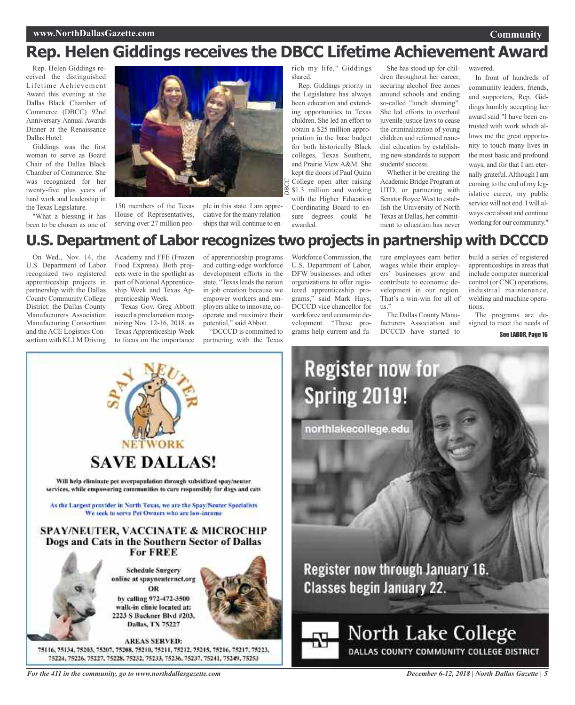# **Rep. Helen Giddings receives the DBCC Lifetime Achievement Award**

Rep. Helen Giddings received the distinguished Lifetime Achievement Award this evening at the Dallas Black Chamber of Commerce (DBCC) 92nd Anniversary Annual Awards Dinner at the Renaissance Dallas Hotel.

Giddings was the first woman to serve as Board Chair of the Dallas Black Chamber of Commerce. She was recognized for her twenty-five plus years of hard work and leadership in the Texas Legislature.

"What a blessing it has been to be chosen as one of



150 members of the Texas House of Representatives, serving over 27 million peo-

ple in this state. I am appreciative for the many relationships that will continue to en-

rich my life," Giddings shared.

 College open after raising Rep. Giddings priority in the Legislature has always been education and extending opportunities to Texas children. She led an effort to obtain a \$25 million appropriation in the base budget for both historically Black colleges, Texas Southern, and Prairie View A&M. She kept the doors of Paul Quinn \$1.3 million and working with the Higher Education Coordinating Board to ensure degrees could be awarded.

She has stood up for children throughout her career, securing alcohol free zones around schools and ending so-called "lunch shaming". She led efforts to overhaul juvenile justice laws to cease the criminalization of young children and reformed remedial education by establishing new standards to support students' success.

Whether it be creating the Academic Bridge Program at UTD, or partnering with Senator Royce West to establish the University of North Texas at Dallas, her commitment to education has never

In front of hundreds of community leaders, friends, and supporters, Rep. Giddings humbly accepting her award said "I have been entrusted with work which allows me the great opportunity to touch many lives in the most basic and profound ways, and for that I am eternally grateful.Although I am coming to the end of my legislative career, my public service will not end. I will always care about and continue working for our community."

**Community**

wavered.

### **U.S. Department of Labor recognizes two projects in partnership with DCCCD**

*DB CC*

On Wed., Nov. 14, the U.S. Department of Labor recognized two registered apprenticeship projects in partnership with the Dallas County Community College District: the Dallas County Manufacturers Association Manufacturing Consortium and the ACE Logistics Consortium with KLLM Driving Academy and FFE (Frozen Food Express). Both projects were in the spotlight as part of National Apprenticeship Week and Texas Apprenticeship Week.

Texas Gov. Greg Abbott issued a proclamation recognizing Nov. 12-16, 2018, as Texas Apprenticeship Week to focus on the importance

of apprenticeship programs and cutting-edge workforce development efforts in the state. "Texas leads the nation in job creation because we empower workers and employers alike to innovate, cooperate and maximize their potential," said Abbott.

"DCCCD is committed to partnering with the Texas

Workforce Commission, the U.S. Department of Labor, DFW businesses and other organizations to offer registered apprenticeship programs," said Mark Hays, DCCCD vice chancellor for workforce and economic development. "These programs help current and fu-

**Register now for** 

**Spring 2019!** 

northlakecollege.edu

ture employees earn better wages while their employers' businesses grow and contribute to economic development in our region. That's a win-win for all of  $\overline{11S}$ .

The Dallas County Manufacturers Association and DCCCD have started to

build a series of registered apprenticeships in areas that include computer numerical control (or CNC) operations, industrial maintenance, welding and machine operations.

The programs are designed to meet the needs of





Register now through January 16. **Classes begin January 22.** 



North Lake College DALLAS COUNTY COMMUNITY COLLEGE DISTRICT

*For the 411 in the community, go to www.northdallasgazette.com*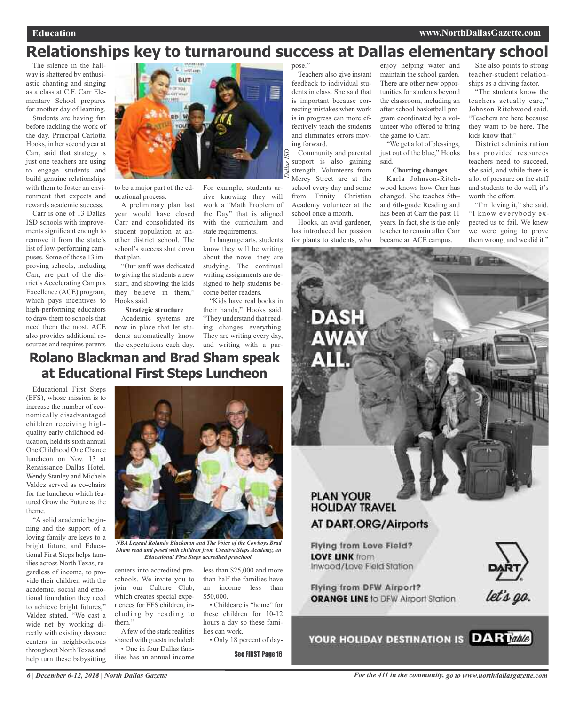### **Relationships key to turnaround success at Dallas elementary school**

The silence in the hallway is shattered by enthusiastic chanting and singing as a class at C.F. Carr Elementary School prepares for another day of learning.

Students are having fun before tackling the work of the day. Principal Carlotta Hooks, in her second year at Carr, said that strategy is just one teachers are using to engage students and build genuine relationships with them to foster an environment that expects and rewards academic success.

Carr is one of 13 Dallas ISD schools with improvements significant enough to remove it from the state's list of low-performing campuses. Some of those 13 improving schools, including Carr, are part of the district's Accelerating Campus Excellence (ACE) program, which pays incentives to high-performing educators to draw them to schools that need them the most. ACE also provides additional resources and requires parents

Educational First Steps (EFS), whose mission is to increase the number of economically disadvantaged children receiving highquality early childhood education, held its sixth annual One Childhood One Chance luncheon on Nov. 13 at Renaissance Dallas Hotel. Wendy Stanley and Michele Valdez served as co-chairs for the luncheon which featured Grow the Future as the

"A solid academic beginning and the support of a loving family are keys to a bright future, and Educational First Steps helps families across North Texas, regardless of income, to provide their children with the academic, social and emotional foundation they need to achieve bright futures," Valdez stated. "We cast a wide net by working directly with existing daycare centers in neighborhoods throughout North Texas and help turn these babysitting

theme.



to be a major part of the educational process.

A preliminary plan last year would have closed Carr and consolidated its student population at another district school. The school's success shut down that plan.

"Our staff was dedicated to giving the students a new start, and showing the kids they believe in them," Hooks said.

**Strategic structure** Academic systems are now in place that let students automatically know

the expectations each day.

For example, students arrive knowing they will work a "Math Problem of the Day" that is aligned with the curriculum and state requirements.

In language arts, students know they will be writing about the novel they are studying. The continual writing assignments are designed to help students become better readers.

"Kids have real books in their hands," Hooks said. "They understand that reading changes everything. They are writing every day, and writing with a pur-**Rolano Blackman and Brad Sham speak at Educational First Steps Luncheon**

pose.' Teachers also give instant feedback to individual students in class. She said that is important because correcting mistakes when work is in progress can more effectively teach the students and eliminates errors moving forward.

Community and parental support is also gaining strength. Volunteers from Mercy Street are at the school every day and some from Trinity Christian Academy volunteer at the school once a month.

Hooks, an avid gardener, has introduced her passion for plants to students, who

WA

enjoy helping water and maintain the school garden. There are other new opportunities for students beyond the classroom, including an after-school basketball program coordinated by a volunteer who offered to bring the game to Carr. "We get a lot of blessings,

just out of the blue," Hooks said.

### **Charting changes**

Karla Johnson-Ritchwood knows how Carr has changed. She teaches 5th– and 6th-grade Reading and has been at Carr the past 11 years. In fact, she is the only teacher to remain after Carr became an ACE campus.

She also points to strong teacher-student relationships as a driving factor.

"The students know the teachers actually care," Johnson-Ritchwood said. "Teachers are here because they want to be here. The kids know that."

District administration has provided resources teachers need to succeed, she said, and while there is a lot of pressure on the staff and students to do well, it's worth the effort.

"I'm loving it," she said. "I know everybody expected us to fail. We knew we were going to prove them wrong, and we did it."

### **PLAN YOUR HOLIDAY TRAVEL**

**LOVE LINK from** Inwood/Love Field Station

**Flying from DFW Airport?** 

**ORANGE LINE to DFW Airport Station** 



let's go.

YOUR HOLIDAY DESTINATION IS DARTable

*NBA Legend Rolando Blackman and The Voice of the Cowboys Brad Sham read and posed with children from Creative Steps Academy, an Educational First Steps accredited preschool.*

centers into accredited preschools. We invite you to join our Culture Club, which creates special experiences for EFS children, including by reading to them."

Afew of the stark realities shared with guests included: • One in four Dallas families has an annual income

less than \$25,000 and more than half the families have an income less than

\$50,000. • Childcare is "home" for these children for 10-12 hours a day so these families can work.

• Only 18 percent of day-

See FIRST, Page 16

# **AT DART.ORG/Airports**

Flying from Love Field?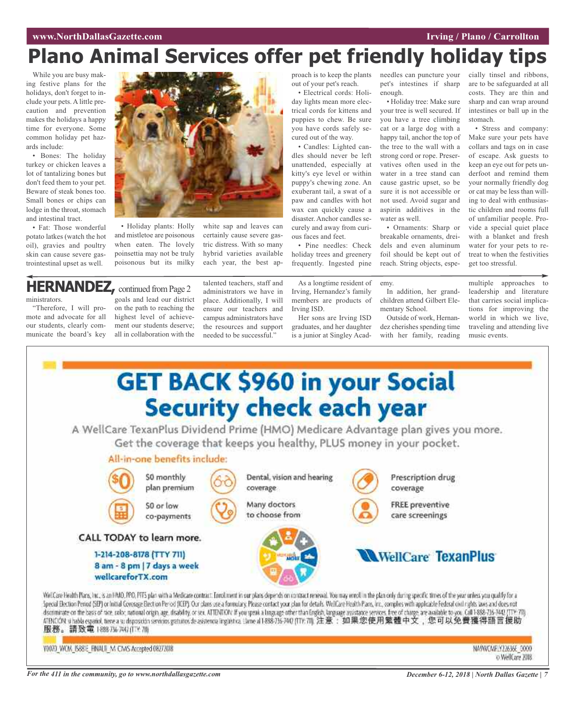### **WAW.NorthDallasGazette.com Irving** / **Plano** / **Carrollton**

# **Plano Animal Services offer pet friendly holiday tips**

While you are busy making festive plans for the holidays, don't forget to include your pets. A little precaution and prevention makes the holidays a happy time for everyone. Some common holiday pet hazards include:

• Bones: The holiday turkey or chicken leaves a lot of tantalizing bones but don't feed them to your pet. Beware of steak bones too. Small bones or chips can lodge in the throat, stomach and intestinal tract.

• Fat: Those wonderful potato latkes (watch the hot oil), gravies and poultry skin can cause severe gastrointestinal upset as well.

"Therefore, I will promote and advocate for all our students, clearly communicate the board's key

**HERNANDEZ**, continued from Page 2

ministrators.



• Holiday plants: Holly and mistletoe are poisonous when eaten. The lovely poinsettia may not be truly poisonous but its milky

goals and lead our district on the path to reaching the highest level of achievement our students deserve; all in collaboration with the

white sap and leaves can certainly cause severe gastric distress. With so many hybrid varieties available each year, the best ap-

talented teachers, staff and administrators we have in place. Additionally, I will ensure our teachers and campus administrators have the resources and support needed to be successful."

proach is to keep the plants out of your pet's reach.

• Electrical cords: Holiday lights mean more electrical cords for kittens and puppies to chew. Be sure you have cords safely secured out of the way.

• Candles: Lighted candles should never be left unattended, especially at kitty's eye level or within puppy's chewing zone. An exuberant tail, a swat of a paw and candles with hot wax can quickly cause a disaster. Anchor candles securely and away from curious faces and feet.

• Pine needles: Check holiday trees and greenery frequently. Ingested pine

As a longtime resident of Irving, Hernandez's family members are products of Irving ISD.

Her sons are Irving ISD graduates, and her daughter is a junior at Singley Acad-

needles can puncture your pet's intestines if sharp enough.

> • Holiday tree: Make sure your tree is well secured. If you have a tree climbing cat or a large dog with a happy tail, anchor the top of the tree to the wall with a strong cord or rope. Preservatives often used in the water in a tree stand can cause gastric upset, so be sure it is not accessible or not used. Avoid sugar and aspirin additives in the water as well.

> • Ornaments: Sharp or breakable ornaments, dreidels and even aluminum foil should be kept out of reach. String objects, espe-

#### emy.

In addition, her grandchildren attend Gilbert Elementary School.

Outside of work, Hernandez cherishes spending time with her family, reading cially tinsel and ribbons, are to be safeguarded at all costs. They are thin and sharp and can wrap around intestines or ball up in the stomach.

• Stress and company: Make sure your pets have collars and tags on in case of escape. Ask guests to keep an eye out for pets underfoot and remind them your normally friendly dog or cat may be less than willing to deal with enthusiastic children and rooms full of unfamiliar people. Provide a special quiet place with a blanket and fresh water for your pets to retreat to when the festivities get too stressful.

multiple approaches to leadership and literature that carries social implications for improving the world in which we live, traveling and attending live music events.



Y0073 WCM IS881E FINALS M CMS Accepted 08272018

NA9WCA#1Y22636E 0000 o WelCare 2018

For the 411 in the community, go to www.northdallasgazette.com December 6-12, 2018 | North Dallas Gazette | 7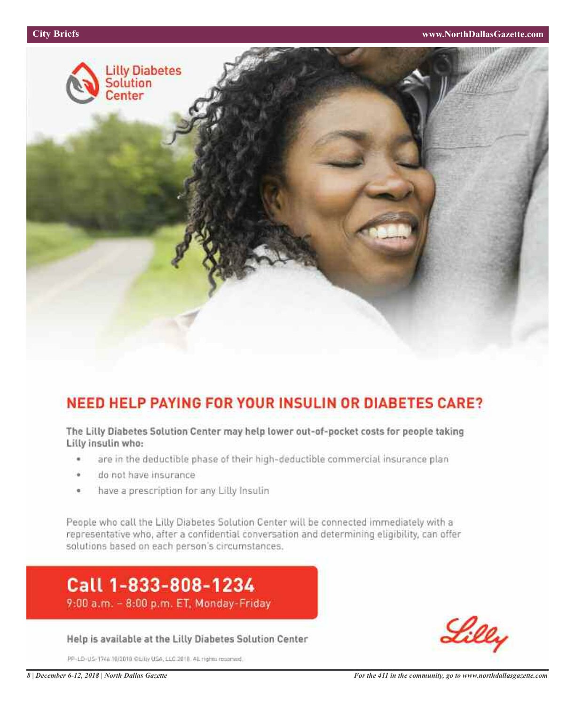

### **NEED HELP PAYING FOR YOUR INSULIN OR DIABETES CARE?**

The Lilly Diabetes Solution Center may help lower out-of-pocket costs for people taking Lilly insulin who:

- are in the deductible phase of their high-deductible commercial insurance plan ٠
- do not have insurance
- have a prescription for any Lilly Insulin ¢

People who call the Lilly Diabetes Solution Center will be connected immediately with a representative who, after a confidential conversation and determining eligibility, can offer solutions based on each person's circumstances.

### Call 1-833-808-1234 9:00 a.m. - 8:00 p.m. ET, Monday-Friday

Help is available at the Lilly Diabetes Solution Center

PP-LD-US-1746 10/2010 CLIII) USA, LLC 2010. All rights reserved.

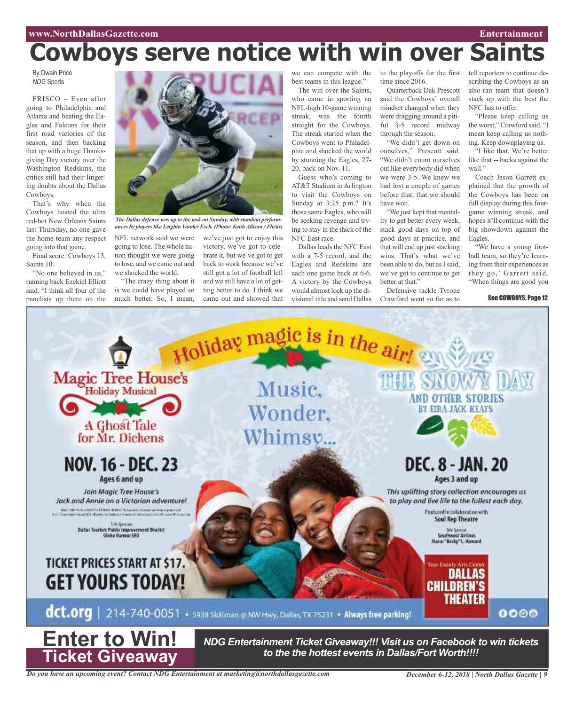# **Cowboys serve notice with win over Saint**

By Dwain Price *NDG* Sports

FRISCO – Even after going to Philadelphia and Atlanta and beating the Eagles and Falcons for their first road victories of the season, and then backing that up with a huge Thanksgiving Day victory over the Washington Redskins, the critics still had their lingering doubts about the Dallas Cowboys.

That's why when the Cowboys hosted the ultra red-hot New Orleans Saints last Thursday, no one gave the home team any respect going into that game.

Final score: Cowboys 13, Saints 10.

"No one believed in us," running back Ezekiel Elliott said. "I think all four of the panelists up there on the



*ances by players like Leightn Vander Esch. (Photo: Keith Allison / Flickr)*

NFL network said we were going to lose. The whole nation thought we were going to lose, and we came out and we shocked the world.

"The crazy thing about it is we could have played so much better. So, I mean,

we've just got to enjoy this victory, we've got to celebrate it, but we've got to get back to work because we've still got a lot of football left and we still have a lot of getting better to do. I think we came out and showed that

we can compete with the best teams in this league."

The win over the Saints, who came in sporting an NFL-high 10-game winning streak, was the fourth straight for the Cowboys. The streak started when the Cowboys went to Philadelphia and shocked the world by stunning the Eagles, 27- 20, back on Nov. 11.

Guess who's coming to AT&T Stadium in Arlington to visit the Cowboys on Sunday at 3:25 p.m.? It's those same Eagles, who will be seeking revenge and trying to stay in the thick of the NFC East race.

Dallas leads the NFC East with a 7-5 record, and the Eagles and Redskins are each one game back at 6-6. A victory by the Cowboys would almost lock up the divisional title and send Dallas

to the playoffs for the first time since 2016.

Quarterback Dak Prescott said the Cowboys' overall mindset changed when they were dragging around a pitiful 3-5 record midway through the season.

"We didn't get down on ourselves," Prescott said. "We didn't count ourselves out like everybody did when we were 3-5. We knew we had lost a couple of games before that, that we should have won.

"We just kept that mentality to get better every week, stack good days on top of good days at practice, and that will end up just stacking wins. That's what we've been able to do, but as I said, we've got to continue to get better at that."

Defensive tackle Tyrone Crawford went so far as to tell reporters to continue describing the Cowboys as an also-ran team that doesn't stack up with the best the NFC has to offer.

"Please keep calling us the worst," Crawford said. "I mean keep calling us nothing. Keep downplaying us.

"I like that. We're better like that -- backs against the wall"

Coach Jason Garrett explained that the growth of the Cowboys has been on full display during this fourgame winning streak, and hopes it'll continue with the big showdown against the Eagles.

"We have a young football team, so they're learning from their experiences as they go,' Garrett said. "When things are good you

See COWBOYS, Page 12



*Do you have an upcoming event? Contact NDG Entertainment at marketing@northdallasgazette.com*

*December 6-12, 2018 | North Dallas Gazette | 9*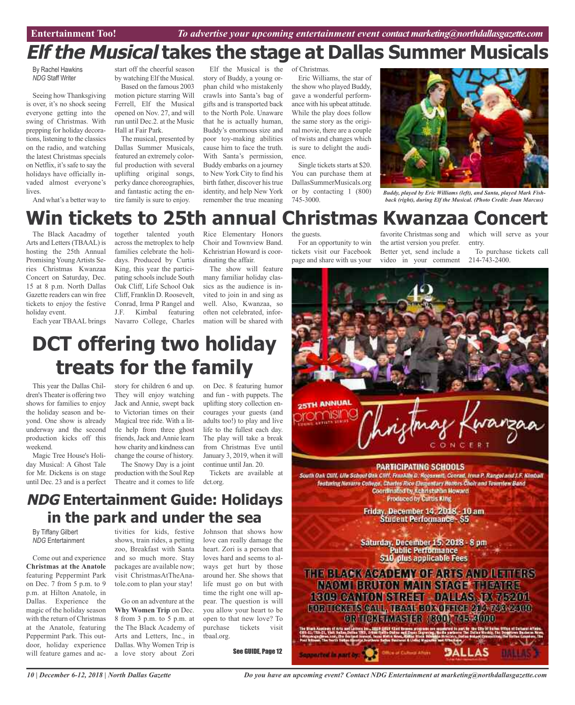# **Elf the Musical takes the stage at Dallas Summer Musicals**

By Rachel Hawkins *NDG* Staff Writer

Seeing how Thanksgiving is over, it's no shock seeing everyone getting into the swing of Christmas. With prepping for holiday decorations, listening to the classics on the radio, and watching the latest Christmas specials on Netflix, it's safe to say the holidays have officially invaded almost everyone's lives.

And what's a better way to

start off the cheerful season by watching Elf the Musical. Based on the famous 2003

motion picture starring Will Ferrell, Elf the Musical opened on Nov. 27, and will run until Dec.2. at the Music Hall at Fair Park.

The musical, presented by Dallas Summer Musicals, featured an extremely colorful production with several uplifting original songs, perky dance choreographies, and fantastic acting the entire family is sure to enjoy.

Elf the Musical is the story of Buddy, a young orphan child who mistakenly crawls into Santa's bag of gifts and is transported back to the North Pole. Unaware that he is actually human, Buddy's enormous size and poor toy-making abilities cause him to face the truth. With Santa's permission, Buddy embarks on a journey to New York City to find his birth father, discover his true identity, and help New York remember the true meaning

of Christmas.

Eric Williams, the star of the show who played Buddy, gave a wonderful performance with his upbeat attitude. While the play does follow the same story as the original movie, there are a couple of twists and changes which is sure to delight the audience.

Single tickets starts at \$20. You can purchase them at DallasSummerMusicals.org or by contacting 1 (800) 745-3000.

tickets visit our Facebook page and share with us your



*Buddy, played by Eric Williams (left), and Santa, played Mark Fishback (right), during Elf the Musical. (Photo Credit: Joan Marcus)*

# **Win tickets to 25th annual Christmas Kwanzaa Concert**

The Black Aacadmy of Arts and Letters(TBAAL) is hosting the 25th Annual Promising YoungArtists Series Christmas Kwanzaa Concert on Saturday, Dec. 15 at 8 p.m. North Dallas Gazette readers can win free tickets to enjoy the festive holiday event.

Each year TBAAL brings

together talented youth across the metroplex to help families celebrate the holidays. Produced by Curtis King, this year the participating schools include South Oak Cliff, Life School Oak Cliff, Franklin D. Roosevelt, Conrad, Irma P Rangel and J.F. Kimbal featuring Navarro College, Charles

Rice Elementary Honors Choir and Townview Band. Kchristrian Howard is coordinating the affair.

The show will feature many familiar holiday classics as the audience is invited to join in and sing as well. Also, Kwanzaa, so often not celebrated, information will be shared with the guests. For an opportunity to win

favorite Christmas song and the artist version you prefer. Better yet, send include a video in your comment

which will serve as your entry.

To purchase tickets call 214-743-2400.



# **DCT offering two holiday treats for the family**

This year the Dallas Children's Theater is offering two shows for families to enjoy the holiday season and beyond. One show is already underway and the second production kicks off this weekend.

Magic Tree House's Holiday Musical: A Ghost Tale for Mr. Dickens is on stage until Dec. 23 and is a perfect

story for children 6 and up. They will enjoy watching Jack and Annie, swept back to Victorian times on their Magical tree ride. With a little help from three ghost friends, Jack and Annie learn how charity and kindness can change the course of history.

The Snowy Day is a joint production with the Soul Rep Theatre and it comes to life

on Dec. 8 featuring humor and fun - with puppets. The uplifting story collection encourages your guests (and adults too!) to play and live life to the fullest each day. The play will take a break from Christmas Eve until January 3, 2019, when it will continue until Jan. 20.

Tickets are available at dct.org.

### **NDG Entertainment Guide: Holidays in the park and under the sea**

By Tiffany Gilbert *NDG* Entertainment

Come out and experience **Christmas at the Anatole** featuring Peppermint Park on Dec. 7 from 5 p.m. to 9 p.m. at Hilton Anatole, in Dallas. Experience the magic of the holiday season with the return of Christmas at the Anatole, featuring Peppermint Park. This outdoor, holiday experience will feature games and ac-

tivities for kids, festive shows, train rides, a petting zoo, Breakfast with Santa and so much more. Stay packages are available now; visit ChristmasAtTheAnatole.com to plan your stay!

Go on an adventure at the **Why Women Trip** on Dec. 8 from 3 p.m. to 5 p.m. at the The Black Academy of Arts and Letters, Inc., in Dallas. Why Women Trip is a love story about Zori

love can really damage the heart. Zori is a person that loves hard and seems to always get hurt by those around her. She shows that life must go on but with time the right one will appear. The question is will you allow your heart to be open to that new love? To purchase tickets visit tbaal.org.

See GUIDE, Page 12

*10 | December 6-12, 2018 | North Dallas Gazette*

*Do you have an upcoming event? Contact NDG Entertainment at marketing@northdallasgazette.com*

Supported in part by: "

**DALLAS** 

地线水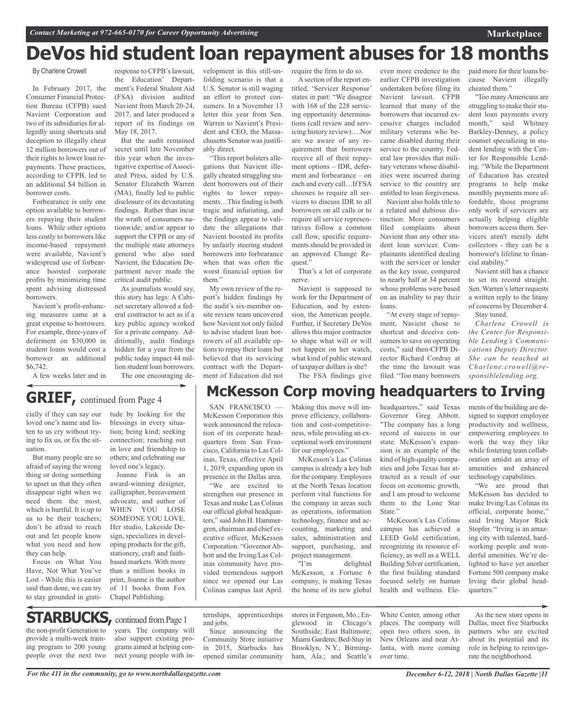# **DeVos hid student loan repayment abuses for 18 months**

By Charlene Crowell

In February 2017, the Consumer Financial Protection Bureau (CFPB) sued Navient Corporation and two of its subsidiaries for allegedly using shortcuts and deception to illegally cheat 12 million borrowers out of their rights to lower loan repayments. These practices, according to CFPB, led to an additional \$4 billion in borrower costs.

Forbearance is only one option available to borrowers repaying their student loans. While other options less costly to borrowers like income-based repayment were available, Navient's widespread use of forbearance boosted corporate profits by minimizing time spent advising distressed borrowers.

Navient's profit-enhancing measures came at a great expense to borrowers. For example, three-years of deferment on \$30,000 in student loans would cost a borrower an additional \$6,742.

A few weeks later and in

cially if they can say our loved one's name and listen to us cry without trying to fix us, or fix the sit-

But many people are so afraid of saying the wrong thing or doing something to upset us that they often disappear right when we need them the most, which is hurtful. It is up to us to be their teachers; don't be afraid to reach out and let people know what you need and how

uation.

they can help.

**GRIEF,** continued from Page <sup>4</sup>

#### response to CFPB's lawsuit, the Education' Department's Federal Student Aid (FSA) division audited Navient from March 20-24, 2017, and later produced a report of its findings on May 18, 2017.

But the audit remained secret until late November this year when the investigative expertise of Associated Press, aided by U.S. Senator Elizabeth Warren (MA), finally led to public disclosure of its devastating findings. Rather than incur the wrath of consumers nationwide, and/or appear to support the CFPB or any of the multiple state attorneys general who also sued Navient, the Education Department never made the critical audit public.

As journalists would say, this story has legs: A Cabinet secretary allowed a federal contractor to act as if a key public agency worked for a private company. Additionally, audit findings hidden for a year from the public today impact 44 million student loan borrowers. The one encouraging de-

tude by looking for the blessings in every situation; being kind; seeking connection; reaching out in love and friendship to others; and celebrating our loved one's legacy.

Joanne Fink is an award-winning designer, calligrapher, bereavement advocate, and author of WHEN YOU LOSE SOMEONE YOU LOVE. Her studio, Lakeside Design, specializes in developing products for the gift, stationery, craft and faithbased markets. With more than a million books in print, Joanne is the author of 11 books from Fox Chapel Publishing.

#### velopment in this still-unfolding scenario is that a U.S. Senator is still waging an effort to protect consumers. In a November 13 letter this year from Sen. Warren to Navient's President and CEO, the Massachusetts Senator was justifiably direct.

"This report bolsters allegations that Navient illegally cheated struggling student borrowers out of their rights to lower repayments…This finding is both tragic and infuriating, and the findings appear to validate the allegations that Navient boosted its profits by unfairly steering student borrowers into forbearance when that was often the worst financial option for them."

My own review of the report's hidden findings by the audit's six-member onsite review team uncovered how Navient not only failed to advise student loan borrowers of all available options to repay their loans but believed that its servicing contract with the Department of Education did not

require the firm to do so.

A section of the report entitled, 'Servicer Response' states in part: "We disagree with 168 of the 228 servicing opportunity determinations (call review and servicing history review)….Nor are we aware of any requirement that borrowers receive all of their repayment options – IDR, deferment and forbearance – on each and every call…If FSA chooses to require all servicers to discuss IDR to all borrowers on all calls or to require all service representatives follow a common call flow, specific requirements should be provided in an approved Change Request."

That's a lot of corporate nerve.

Navient is supposed to work for the Department of Education, and by extension, the American people. Further, if Secretary DeVos allows this major contractor to shape what will or will not happen on her watch, what kind of public steward of taxpayer dollars is she?

The FSA findings give

even more credence to the earlier CFPB investigation undertaken before filing its Navient lawsuit. CFPB learned that many of the borrowers that incurred excessive charges included military veterans who became disabled during their service to the country. Federal law provides that military veterans whose disabilities were incurred during service to the country are entitled to loan forgiveness.

Navient also holds title to a related and dubious distinction: More consumers filed complaints about Navient than any other student loan servicer. Complainants identified dealing with the servicer or lender as the key issue, compared to nearly half at 34 percent whose problems were based on an inability to pay their loans.

"At every stage of repayment, Navient chose to shortcut and deceive consumers to save on operating costs," said then-CFPB Director Richard Cordray at the time the lawsuit was filed. "Too many borrowers

paid more for their loans because Navient illegally cheated them."

**Marketplace**

"Too many Americans are struggling to make their student loan payments every month," said Whitney Barkley-Denney, a policy counsel specializing in student lending with the Center for Responsible Lending. "While the Department of Education has created programs to help make monthly payments more affordable, those programs only work if servicers are actually helping eligible borrowers access them. Servicers aren't merely debt collectors - they can be a borrower's lifeline to financial stability."

Navient still has a chance to set its record straight. Sen. Warren's letter requests a written reply to the litany of concerns by December 4. Stay tuned.

*Charlene Crowell is the Center for Responsible Lending's Communications Deputy Director. She can be reached at Charlene.crowell@responsiblelending.org.*

ments of the building are designed to support employee

### **McKesson Corp moving headquarters to Irving**

SAN FRANCISCO — McKesson Corporation this week announced the relocation of its corporate headquarters from San Francisco, California to Las Colinas, Texas, effective April 1, 2019, expanding upon its presence in the Dallas area.

"We are excited to strengthen our presence in Texas and make Las Colinas our official global headquarters," said John H. Hammergren, chairman and chief executive officer, McKesson Corporation. "Governor Abbott and the Irving/Las Colinas community have provided tremendous support since we opened our Las Colinas campus last April.

Making this move will improve efficiency, collaboration and cost-competitiveness, while providing an exceptional work environment for our employees."

McKesson's Las Colinas campus is already a key hub for the company. Employees at the North Texas location perform vital functions for the company in areas such as operations, information technology, finance and accounting, marketing and sales, administration and support, purchasing, and project management.

"I'm delighted McKesson, a Fortune 6 company, is making Texas the home of its new global headquarters," said Texas Governor Greg Abbott. "The company has a long record of success in our state. McKesson's expansion is an example of the kind of high-quality companies and jobs Texas has attracted as a result of our focus on economic growth, and I am proud to welcome them to the Lone Star State."

McKesson's Las Colinas campus has achieved a LEED Gold certification, recognizing its resource efficiency, as well as a WELL Building Silver certification, the first building standard focused solely on human health and wellness. Eleproductivity and wellness, empowering employees to work the way they like while fostering team collaboration amidst an array of amenities and enhanced technology capabilities. "We are proud that

McKesson has decided to make Irving/Las Colinas its official, corporate home," said Irving Mayor Rick Stopfer. "Irving is an amazing city with talented, hardworking people and wonderful amenities. We're delighted to have yet another Fortune 500 company make Irving their global headquarters."

**STARBUCKS, continued from Page 1** 

Focus on What You Have, Not What You've Lost - While this is easier said than done, we can try to stay grounded in grati-

the non-profit Generation to provide a multi-week training program to 200 young people over the next two

years. The company will also support existing programs aimed at helping connect young people with internships, apprenticeships and jobs.

Since announcing the Community Store initiative in 2015, Starbucks has opened similar community

stores in Ferguson, Mo.; Englewood in Chicago's Southside; East Baltimore; Miami Gardens; Bed-Stuy in Brooklyn, N.Y.; Birmingham, Ala.; and Seattle's

White Center, among other places. The company will open two others soon, in New Orleans and near Atlanta, with more coming over time.

As the new store opens in Dallas, meet five Starbucks partners who are excited about its potential and its role in helping to reinvigorate the neighborhood.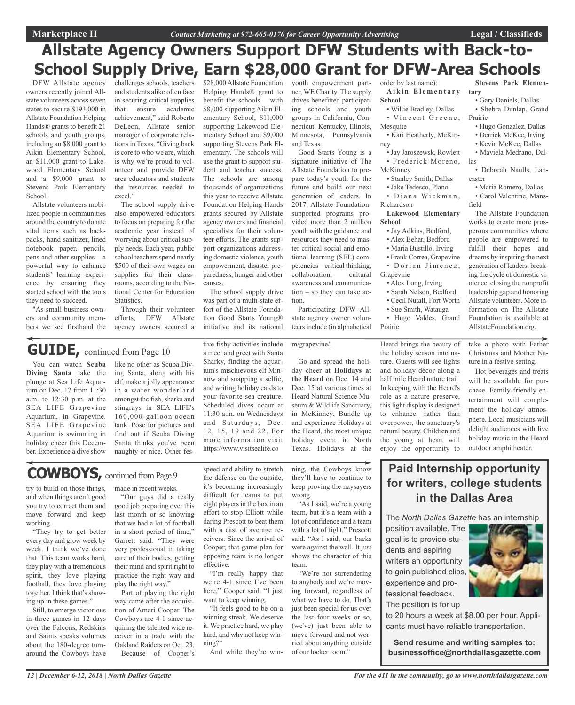### **Allstate Agency Owners Support DFW Students with Back-to-School Supply Drive, Earn \$28,000 Grant for DFW-Area Schools** \$28,000 Allstate Foundation youth empowerment part-

DFW Allstate agency owners recently joined Allstate volunteers across seven states to secure \$193,000 in Allstate Foundation Helping Hands® grants to benefit 21 schools and youth groups, including an \$8,000 grant to Aikin Elementary School, an \$11,000 grant to Lakewood Elementary School and a \$9,000 grant to Stevens Park Elementary School.

Allstate volunteers mobilized people in communities around the country to donate vital items such as backpacks, hand sanitizer, lined notebook paper, pencils, pens and other supplies – a powerful way to enhance students' learning experience by ensuring they started school with the tools they need to succeed.

"As small business owners and community members we see firsthand the

You can watch **Scuba Diving Santa** take the plunge at Sea Life Aquarium on Dec. 12 from 11:30 a.m. to 12:30 p.m. at the SEA LIFE Grapevine Aquarium, in Grapevine. SEA LIFE Grapevine Aquarium is swimming in holiday cheer this December. Experience a dive show

challenges schools, teachers and students alike often face in securing critical supplies that ensure academic achievement," said Roberto DeLeon, Allstate senior manager of corporate relations in Texas. "Giving back is core to who we are, which is why we're proud to volunteer and provide DFW area educators and students the resources needed to excel."

The school supply drive also empowered educators to focus on preparing for the academic year instead of worrying about critical supply needs. Each year, public school teachers spend nearly \$500 of their own wages on supplies for their classrooms, according to the National Center for Education Statistics.

Through their volunteer efforts, DFW Allstate agency owners secured a Helping Hands® grant to benefit the schools – with \$8,000 supporting Aikin Elementary School, \$11,000 supporting Lakewood Elementary School and \$9,000 supporting Stevens Park Elementary. The schools will use the grant to support student and teacher success. The schools are among thousands of organizations this year to receive Allstate Foundation Helping Hands grants secured by Allstate agency owners and financial specialists for their volunteer efforts. The grants support organizations addressing domestic violence, youth empowerment, disaster preparedness, hunger and other causes.

The school supply drive was part of a multi-state effort of the Allstate Foundation Good Starts Young® initiative and its national

tive fishy activities include a meet and greet with Santa Sharky, finding the aquarium's mischievous elf Minnow and snapping a selfie, and writing holiday cards to your favorite sea creature. Scheduled dives occur at 11:30 a.m. on Wednesdays and Saturdays, Dec. 12, 15, 19 and 22. For more information visit https://www.visitsealife.co

ner, WE Charity. The supply drives benefitted participating schools and youth groups in California, Connecticut, Kentucky, Illinois, Minnesota, Pennsylvania and Texas.

Good Starts Young is a signature initiative of The Allstate Foundation to prepare today's youth for the future and build our next generation of leaders. In 2017, Allstate Foundationsupported programs provided more than 2 million youth with the guidance and resources they need to master critical social and emotional learning (SEL) competencies – critical thinking, collaboration, cultural awareness and communication – so they can take action.

Participating DFW Allstate agency owner volunteers include (in alphabetical

Go and spread the holiseum & Wildlife Sanctuary, in McKinney. Bundle up and experience Holidays at the Heard, the most unique holiday event in North

order by last name): **A i k i n El e m e n t a r y School**

• Willie Bradley, Dallas • Vincent Greene, Mesquite

• Kari Heatherly, McKinney

• Jay Jaroszewsk, Rowlett • Frederick Moreno, McKinney

• Stanley Smith, Dallas

• Jake Tedesco, Plano • Diana Wickman, Richardson

**Lakewood Elementary School**

- Jay Adkins, Bedford,
- Alex Behar, Bedford
- Maria Bustillo, Irving
- Frank Correa, Grapevine
- Dorian Jimenez,
- Grapevine
	- Alex Long, Irving
	- Sarah Nelson, Bedford
	- Cecil Nutall, Fort Worth

• Sue Smith, Watauga • Hugo Valdes, Grand

Prairie

Heard brings the beauty of the holiday season into nature. Guests will see lights and holiday décor along a half mile Heard nature trail. In keeping with the Heard's role as a nature preserve, this light display is designed to enhance, rather than overpower, the sanctuary's natural beauty. Children and the young at heart will enjoy the opportunity to

**Stevens Park Elementary**

- Gary Daniels, Dallas
- Shebra Dunlap, Grand Prairie
- Hugo Gonzalez, Dallas
- Derrick McKee, Irving
- Kevin McKee, Dallas • Maviela Medrano, Dal-
- las

• Deborah Naulls, Lancaster

• Maria Romero, Dallas • Carol Valentine, Mansfield

The Allstate Foundation works to create more prosperous communities where people are empowered to fulfill their hopes and dreams by inspiring the next generation of leaders, breaking the cycle of domestic violence, closing the nonprofit leadership gap and honoring Allstate volunteers. More information on The Allstate Foundation is available at AllstateFoundation.org.

take a photo with Father Christmas and Mother Nature in a festive setting.

Hot beverages and treats will be available for purchase. Family-friendly entertainment will complement the holiday atmosphere. Local musicians will delight audiences with live holiday music in the Heard outdoor amphitheater.

### **COWBOYS**, continued from Page 9

**GUIDE,** continued from Page <sup>10</sup>

try to build on those things, and when things aren't good you try to correct them and move forward and keep working.

"They try to get better every day and grow week by week. I think we've done that. This team works hard, they play with a tremendous spirit, they love playing football, they love playing together. I think that's showing up in these games."

Still, to emerge victorious in three games in 12 days over the Falcons, Redskins and Saints speaks volumes about the 180-degree turnaround the Cowboys have

like no other as Scuba Diving Santa, along with his elf, make a jolly appearance in a water wonderland amongst the fish, sharks and stingrays in SEA LIFE's 160,000-galloon ocean tank. Pose for pictures and find out if Scuba Diving Santa thinks you've been naughty or nice. Other fes-

"Our guys did a really

made in recent weeks. good job preparing over this last month or so knowing

that we had a lot of football in a short period of time," Garrett said. "They were very professional in taking care of their bodies, getting their mind and spirit right to practice the right way and play the right way."

Part of playing the right way came after the acquisition of Amari Cooper. The Cowboys are 4-1 since acquiring the talented wide receiver in a trade with the Oakland Raiders on Oct. 23. Because of Cooper's

speed and ability to stretch the defense on the outside, it's becoming increasingly difficult for teams to put eight players in the box in an effort to stop Elliott while daring Prescott to beat them with a cast of average receivers. Since the arrival of Cooper, that game plan for opposing team is no longer effective.

"I'm really happy that we're 4-1 since I've been here," Cooper said. "I just want to keep winning.

"It feels good to be on a winning streak. We deserve it. We practice hard, we play hard, and why not keep winning?"

And while they're win-

ning, the Cowboys know they'll have to continue to keep proving the naysayers wrong.

Texas. Holidays at the

"As I said, we're a young team, but it's a team with a lot of confidence and a team with a lot of fight," Prescott said. "As I said, our backs were against the wall. It just shows the character of this team.

"We're not surrendering to anybody and we're moving forward, regardless of what we have to do. That's just been special for us over the last four weeks or so, (we've) just been able to move forward and not worried about anything outside of our locker room."

### **Paid Internship opportunity for writers, college students in the Dallas Area**

The *North Dallas Gazette* has an internship

position available. The goal is to provide students and aspiring writers an opportunity to gain published clips, experience and professional feedback. The position is for up

to 20 hours a week at \$8.00 per hour. Applicants must have reliable transportation.

**Send resume and writing samples to: businessoffice@northdallasgazette.com**

m/grapevine/. day cheer at **Holidays at the Heard** on Dec. 14 and Dec. 15 at various times at Heard Natural Science Mu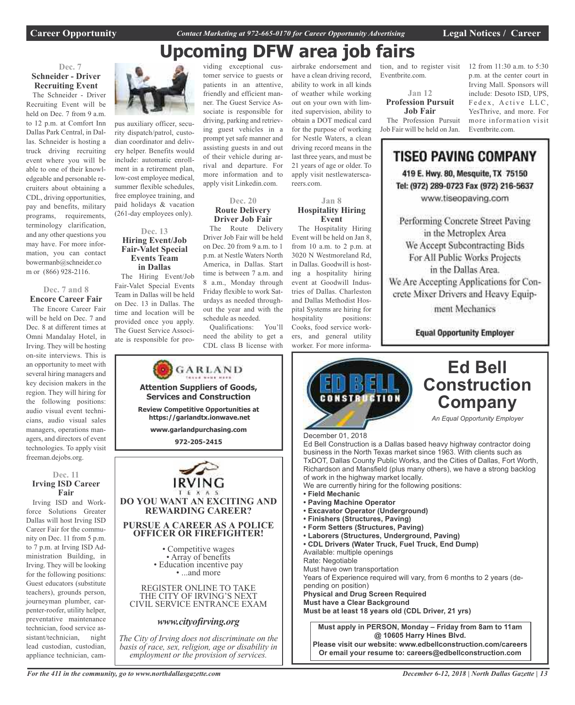**Career Opportunity** *Contact Marketing at 972-665-0170 for Career Opportunity Advertising* **Legal Notices / Career**

# **Upcoming DFW area job fairs**

### **Dec. 7 Schneider - Driver Recruiting Event**

The Schneider - Driver Recruiting Event will be held on Dec. 7 from 9 a.m. to 12 p.m. at Comfort Inn Dallas Park Central, in Dallas. Schneider is hosting a truck driving recruiting event where you will be able to one of their knowledgeable and personable recruiters about obtaining a CDL, driving opportunities, pay and benefits, military programs, requirements, terminology clarification, and any other questions you may have. For more information, you can contact bowermanb@schneider.co m or (866) 928-2116.

### **Dec. 7 and 8 Encore Career Fair**

The Encore Career Fair will be held on Dec. 7 and Dec. 8 at different times at Omni Mandalay Hotel, in Irving. They will be hosting on-site interviews. This is an opportunity to meet with several hiring managers and key decision makers in the region. They will hiring for the following positions: audio visual event technicians, audio visual sales managers, operations managers, and directors of event technologies. To apply visit freeman.dejobs.org.

#### **Dec. 11 Irving ISD Career Fair**

Irving ISD and Workforce Solutions Greater Dallas will host Irving ISD Career Fair for the community on Dec. 11 from 5 p.m. to 7 p.m. at Irving ISD Administration Building, in Irving. They will be looking for the following positions: Guest educators (substitute teachers), grounds person, journeyman plumber, carpenter-roofer, utility helper, preventative maintenance technician, food service assistant/technician, night lead custodian, custodian, appliance technician, cam-



pus auxiliary officer, security dispatch/patrol, custodian coordinator and delivery helper. Benefits would include: automatic enrollment in a retirement plan, low-cost employee medical, summer flexible schedules, free employee training, and paid holidays & vacation (261-day employees only).

### **Dec. 13 Hiring Event/Job Fair-Valet Special Events Team in Dallas**

The Hiring Event/Job Fair-Valet Special Events Team in Dallas will be held on Dec. 13 in Dallas. The time and location will be provided once you apply. The Guest Service Associate is responsible for pro-

tomer service to guests or patients in an attentive, friendly and efficient manner. The Guest Service Associate is responsible for driving, parking and retrieving guest vehicles in a prompt yet safe manner and assisting guests in and out of their vehicle during arrival and departure. For more information and to apply visit Linkedin.com.

viding exceptional cus-

#### **Dec. 20 Route Delivery Driver Job Fair**

The Route Delivery Driver Job Fair will be held on Dec. 20 from 9 a.m. to 1 p.m. at Nestle Waters North America, in Dallas. Start time is between 7 a.m. and 8 a.m., Monday through Friday flexible to work Saturdays as needed throughout the year and with the schedule as needed.

Qualifications: You'll need the ability to get a CDL class B license with

**Attention Suppliers of Goods, Services and Construction Review Competitive Opportunities at https://garlandtx.ionwave.net www.garlandpurchasing.com 972-205-2415**

GARLAND

**REWARDING CAREER?**

• Competitive wages<br>• Array of benefits<br>• Education incentive pay<br>• ...and more

REGISTER ONLINE TO TAKE THE CITY OF IRVING'S NEXT

*www.cityofirving.org*

airbrake endorsement and have a clean driving record, ability to work in all kinds of weather while working out on your own with limited supervision, ability to obtain a DOT medical card for the purpose of working for Nestle Waters, a clean driving record means in the last three years, and must be 21 years of age or older. To apply visit nestlewaterscareers.com.

#### **Jan 8 Hospitality Hiring Event**

The Hospitality Hiring Event will be held on Jan 8, from 10 a.m. to 2 p.m. at 3020 N Westmoreland Rd, in Dallas. Goodwill is hosting a hospitality hiring event at Goodwill Industries of Dallas. Charleston and Dallas Methodist Hospital Systems are hiring for hospitality positions: Cooks, food service workers, and general utility worker. For more information, and to register visit Eventbrite.com.

#### **Jan 12 Profession Pursuit**

**Job Fair** The Profession Pursuit Job Fair will be held on Jan.

12 from 11:30 a.m. to 5:30 p.m. at the center court in Irving Mall. Sponsors will include: Desoto ISD, UPS, Fedex, Active LLC, YesThrive, and more. For more information visit Eventbrite.com.

### **TISEO PAVING COMPANY**

419 E. Hwy. 80, Mesquite, TX 75150 Tel: (972) 289-0723 Fax (972) 216-5637 www.tiseopaving.com

Performing Concrete Street Paving in the Metroplex Area We Accept Subcontracting Bids For All Public Works Projects in the Dallas Area. We Are Accepting Applications for Concrete Mixer Drivers and Heavy Equip-

ment Mechanics

**Equal Opportunity Employer** 



### *For the 411 in the community, go to www.northdallasgazette.com*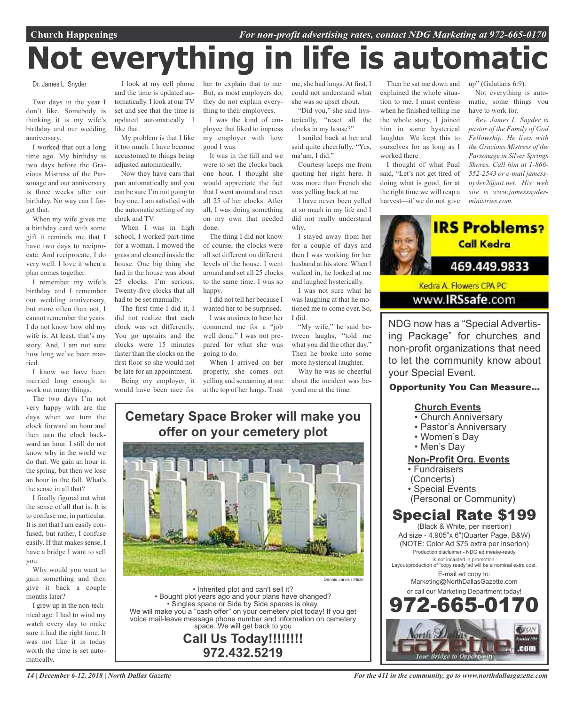# **Church Happenings** *For non-profit advertising rates, contact NDG Marketing at 972-665-0170* **Not everything in life is automatic**

#### Dr. James L. Snyder

Two days in the year I don't like. Somebody is thinking it is my wife's birthday and our wedding anniversary.

I worked that out a long time ago. My birthday is two days before the Gracious Mistress of the Parsonage and our anniversary is three weeks after our birthday. No way can I forget that.

When my wife gives me a birthday card with some gift it reminds me that I have two days to reciprocate. And reciprocate, I do very well. I love it when a plan comes together.

I remember my wife's birthday and I remember our wedding anniversary, but more often than not, I cannot remember the years. I do not know how old my wife is. At least, that's my story. And, I am not sure how long we've been married.

I know we have been married long enough to work out many things.

The two days I'm not very happy with are the days when we turn the clock forward an hour and then turn the clock backward an hour. I still do not know why in the world we do that. We gain an hour in the spring, but then we lose an hour in the fall. What's the sense in all that?

I finally figured out what the sense of all that is. It is to confuse me, in particular. It is not that I am easily confused, but rather, I confuse easily. If that makes sense, I have a bridge I want to sell you.

Why would you want to gain something and then give it back a couple months later?

I grew up in the non-technical age. I had to wind my watch every day to make sure it had the right time. It was not like it is today worth the time is set automatically.

and the time is updated automatically. I look at our TV set and see that the time is updated automatically. I like that.

My problem is that I like it too much. I have become accustomed to things being adjusted automatically.

Now they have cars that part automatically and you can be sure I'm not going to buy one. I am satisfied with the automatic setting of my clock and TV.

When I was in high school, I worked part-time for a woman. I mowed the grass and cleaned inside the house. One big thing she had in the house was about 25 clocks. I'm serious. Twenty-five clocks that all had to be set manually.

The first time I did it, I did not realize that each clock was set differently. You go upstairs and the clocks were 15 minutes faster than the clocks on the first floor so she would not be late for an appointment.

Being my employer, it would have been nice for

I look at my cell phone her to explain that to me. But, as most employers do, they do not explain everything to their employees.

> I was the kind of employee that liked to impress my employer with how good I was.

It was in the fall and we were to set the clocks back one hour. I thought she would appreciate the fact that I went around and reset all 25 of her clocks. After all, I was doing something on my own that needed done.

The thing I did not know of course, the clocks were all set different on different levels of the house. I went around and set all 25 clocks to the same time. I was so happy.

I did not tell her because I wanted her to be surprised.

I was anxious to hear her commend me for a "job well done." I was not prepared for what she was going to do.

When I arrived on her property, she comes out yelling and screaming at me at the top of her lungs. Trust me, she had lungs. At first, I could not understand what she was so upset about.

"Did you," she said hysterically, "reset all the clocks in my house?"

I smiled back at her and said quite cheerfully, "Yes, ma'am, I did."

Courtesy keeps me from quoting her right here. It was more than French she was yelling back at me.

I have never been yelled at so much in my life and I did not really understand why.

I stayed away from her for a couple of days and then I was working for her husband at his store. When I walked in, he looked at me and laughed hysterically.

I was not sure what he was laughing at that he motioned me to come over. So, I did.

"My wife," he said between laughs, "told me what you did the other day." Then he broke into some more hysterical laughter.

Why he was so cheerful about the incident was beyond me at the time.

Then he sat me down and explained the whole situation to me. I must confess when he finished telling me the whole story, I joined him in some hysterical laughter. We kept this to ourselves for as long as I worked there.

I thought of what Paul said, "Let's not get tired of doing what is good, for at the right time we will reap a harvest—if we do not give up" (Galatians 6:9).

Not everything is automatic, some things you have to work for.

*Rev. James L. Snyder is pastor of the Family of God Fellowship. He lives with the Gracious Mistress of the Parsonage in Silver Springs Shores. Call him at 1-866- 552-2543 or e-mail jamessnyder2@att.net. His web site is www.jamessnyderministries.com.*



www.**IRSsafe.com** 

NDG now has a "Special Advertising Package" for churches and non-profit organizations that need to let the community know about your Special Event.

### Opportunity You Can Measure...

### **Church Events**

- Church Anniversary
- Pastor's Anniversary
- Women's Day
- Men's Day

### **Non-Profit Org. Events**

- Fundraisers
- (Concerts)
- Special Events
- (Personal or Community)

### Special Rate \$199

(Black & White, per insertion) Ad size - 4.905"x 6"(Quarter Page, B&W) (NOTE: Color Ad \$75 extra per inserion) Production disclaimer - NDG ad meake-ready is not included in promotion. Layout/production of "copy ready"ad will be a nominal extra cost. E-mail ad copy to: Marketing@NorthDallasGazette.com or call our Marketing Department today! 665-



### **Cemetary Space Broker will make you offer on your cemetery plot**



• Inherited plot and can't sell it? • Bought plot years ago and your plans have changed? • Singles space or Side by Side spaces is okay. We will make you a "cash offer" on your cemetery plot today! If you get voice mail-leave message phone number and information on cemetery space. We will get back to you

> **Call Us Today!!!!!!!! 972.432.5219**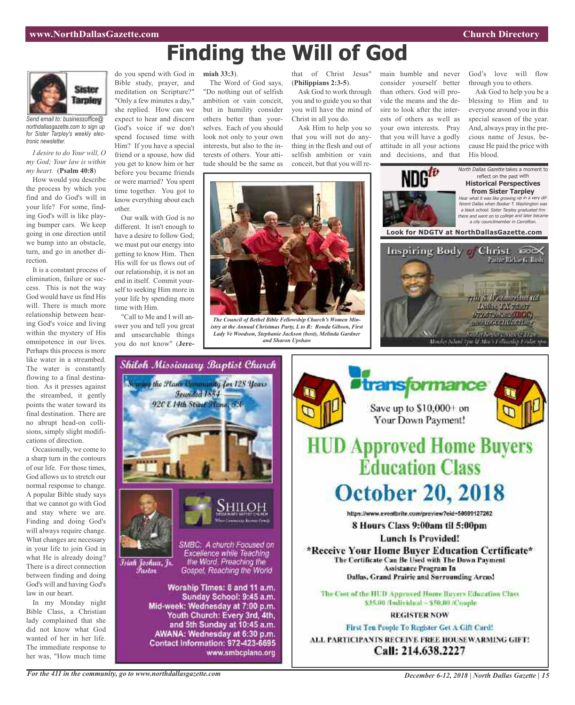# **Finding the Will of God**



*Send email to: businessoffice@ northdallasgazette.com to sign up for Sister Tarpley's weekly electronic newsletter.*

*I desire to do Your will, O my God; Your law is within my heart.* (**Psalm 40:8**)

How would you describe the process by which you find and do God's will in your life? For some, finding God's will is like playing bumper cars. We keep going in one direction until we bump into an obstacle, turn, and go in another direction.

It is a constant process of elimination, failure or success. This is not the way God would have us find His will. There is much more relationship between hearing God's voice and living within the mystery of His omnipotence in our lives. Perhaps this process is more like water in a streambed. The water is constantly flowing to a final destination. As it presses against the streambed, it gently points the water toward its final destination. There are no abrupt head-on collisions, simply slight modifications of direction.

Occasionally, we come to a sharp turn in the contours of our life. For those times, God allows us to stretch our normal response to change. A popular Bible study says that we cannot go with God and stay where we are. Finding and doing God's will always require change. What changes are necessary in your life to join God in what He is already doing? There is a direct connection between finding and doing God's will and having God's law in our heart.

In my Monday night Bible Class, a Christian lady complained that she did not know what God wanted of her in her life. The immediate response to her was, "How much time

do you spend with God in Bible study, prayer, and meditation on Scripture?" "Only a few minutes a day," she replied. How can we expect to hear and discern God's voice if we don't spend focused time with Him? If you have a special friend or a spouse, how did you get to know him or her before you became friends or were married? You spent time together. You got to know everything about each other.

Our walk with God is no different. It isn't enough to have a desire to follow God; we must put our energy into getting to know Him. Then His will for us flows out of our relationship, it is not an end in itself. Commit yourself to seeking Him more in your life by spending more time with Him.

"Call to Me and I will answer you and tell you great and unsearchable things you do not know" (**Jere-** **miah 33:3**).

The Word of God says, "Do nothing out of selfish ambition or vain conceit, but in humility consider others better than yourselves. Each of you should look not only to your own interests, but also to the interests of others. Your attitude should be the same as

that of Christ Jesus" (**Philippians 2:3-5**).

Ask God to work through you and to guide you so that you will have the mind of Christ in all you do.

Ask Him to help you so that you will not do anything in the flesh and out of selfish ambition or vain conceit, but that you will re-



*The Council of Bethel Bible Fellowship Church's Women Ministry at the Annual Christmas Party, L to R: Ronda Gibson, First Lady Ve Woodson, Stephanie Jackson (host), Melinda Gardner and Sharon Upshaw*



God's love will flow through you to others.

Ask God to help you be a blessing to Him and to everyone around you in this special season of the year. And, always pray in the precious name of Jesus, because He paid the price with His blood.







*For the 411 in the community, go to www.northdallasgazette.com*

*December 6-12, 2018 | North Dallas Gazette | 15*